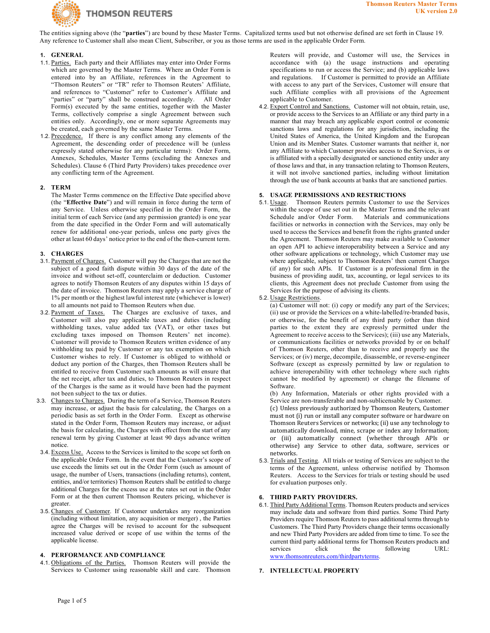

The entities signing above (the "**parties**") are bound by these Master Terms. Capitalized terms used but not otherwise defined are set forth in Clause 19. Any reference to Customer shall also mean Client, Subscriber, or you as those terms are used in the applicable Order Form.

# **1. GENERAL**

- 1.1. Parties. Each party and their Affiliates may enter into Order Forms which are governed by the Master Terms. Where an Order Form is entered into by an Affiliate, references in the Agreement to "Thomson Reuters" or "TR" refer to Thomson Reuters' Affiliate, and references to "Customer" refer to Customer's Affiliate and "parties" or "party" shall be construed accordingly. All Order Form(s) executed by the same entities, together with the Master Terms, collectively comprise a single Agreement between such entities only. Accordingly, one or more separate Agreements may be created, each governed by the same Master Terms.
- 1.2. Precedence. If there is any conflict among any elements of the Agreement, the descending order of precedence will be (unless expressly stated otherwise for any particular terms): Order Form, Annexes, Schedules, Master Terms (excluding the Annexes and Schedules). Clause 6 (Third Party Providers) takes precedence over any conflicting term of the Agreement.

## **2. TERM**

The Master Terms commence on the Effective Date specified above (the "**Effective Date**") and will remain in force during the term of any Service. Unless otherwise specified in the Order Form, the initial term of each Service (and any permission granted) is one year from the date specified in the Order Form and will automatically renew for additional one-year periods, unless one party gives the other at least 60 days' notice prior to the end of the then-current term.

## **3. CHARGES**

- 3.1. Payment of Charges. Customer will pay the Charges that are not the subject of a good faith dispute within 30 days of the date of the invoice and without set-off, counterclaim or deduction. Customer agrees to notify Thomson Reuters of any disputes within 15 days of the date of invoice. Thomson Reuters may apply a service charge of 1% per month or the highest lawful interest rate (whichever is lower) to all amounts not paid to Thomson Reuters when due.
- 3.2. Payment of Taxes. The Charges are exclusive of taxes, and Customer will also pay applicable taxes and duties (including withholding taxes, value added tax (VAT), or other taxes but excluding taxes imposed on Thomson Reuters' net income). Customer will provide to Thomson Reuters written evidence of any withholding tax paid by Customer or any tax exemption on which Customer wishes to rely. If Customer is obliged to withhold or deduct any portion of the Charges, then Thomson Reuters shall be entitled to receive from Customer such amounts as will ensure that the net receipt, after tax and duties, to Thomson Reuters in respect of the Charges is the same as it would have been had the payment not been subject to the tax or duties.
- 3.3. Changes to Charges. During the term of a Service, Thomson Reuters may increase, or adjust the basis for calculating, the Charges on a periodic basis as set forth in the Order Form. Except as otherwise stated in the Order Form, Thomson Reuters may increase, or adjust the basis for calculating, the Charges with effect from the start of any renewal term by giving Customer at least 90 days advance written notice.
- 3.4. Excess Use. Access to the Services is limited to the scope set forth on the applicable Order Form. In the event that the Customer's scope of use exceeds the limits set out in the Order Form (such as amount of usage, the number of Users, transactions (including returns), content, entities, and/or territories) Thomson Reuters shall be entitled to charge additional Charges for the excess use at the rates set out in the Order Form or at the then current Thomson Reuters pricing, whichever is greater.
- 3.5. Changes of Customer. If Customer undertakes any reorganization (including without limitation, any acquisition or merger) , the Parties agree the Charges will be revised to account for the subsequent increased value derived or scope of use within the terms of the applicable license.

## **4. PERFORMANCE AND COMPLIANCE**

4.1. Obligations of the Parties. Thomson Reuters will provide the Services to Customer using reasonable skill and care. Thomson Reuters will provide, and Customer will use, the Services in accordance with (a) the usage instructions and operating specifications to run or access the Service; and (b) applicable laws and regulations. If Customer is permitted to provide an Affiliate with access to any part of the Services, Customer will ensure that such Affiliate complies with all provisions of the Agreement applicable to Customer.

4.2. Export Control and Sanctions. Customer will not obtain, retain, use, or provide access to the Services to an Affiliate or any third party in a manner that may breach any applicable export control or economic sanctions laws and regulations for any jurisdiction, including the United States of America, the United Kingdom and the European Union and its Member States. Customer warrants that neither it, nor any Affiliate to which Customer provides access to the Services, is or is affiliated with a specially designated or sanctioned entity under any of those laws and that, in any transaction relating to Thomson Reuters, it will not involve sanctioned parties, including without limitation through the use of bank accounts at banks that are sanctioned parties.

## **5. USAGE PERMISSIONS AND RESTRICTIONS**

5.1. Usage. Thomson Reuters permits Customer to use the Services within the scope of use set out in the Master Terms and the relevant Schedule and/or Order Form. Materials and communications facilities or networks in connection with the Services, may only be used to access the Services and benefit from the rights granted under the Agreement. Thomson Reuters may make available to Customer an open API to achieve interoperability between a Service and any other software applications or technology, which Customer may use where applicable, subject to Thomson Reuters' then current Charges (if any) for such APIs. If Customer is a professional firm in the business of providing audit, tax, accounting, or legal services to its clients, this Agreement does not preclude Customer from using the Services for the purpose of advising its clients.

## 5.2. Usage Restrictions.

(a) Customer will not: (i) copy or modify any part of the Services; (ii) use or provide the Services on a white-labelled/re-branded basis, or otherwise, for the benefit of any third party (other than third parties to the extent they are expressly permitted under the Agreement to receive access to the Services); (iii) use any Materials, or communications facilities or networks provided by or on behalf of Thomson Reuters, other than to receive and properly use the Services; or (iv) merge, decompile, disassemble, or reverse-engineer Software (except as expressly permitted by law or regulation to achieve interoperability with other technology where such rights cannot be modified by agreement) or change the filename of Software.

(b) Any Information, Materials or other rights provided with a Service are non-transferable and non-sublicensable by Customer.

(c) Unless previously authorized by Thomson Reuters, Customer must not (i) run or install any computer software or hardware on Thomson Reuters Services or networks; (ii) use any technology to automatically download, mine, scrape or index any Information; or (iii) automatically connect (whether through APIs or otherwise) any Service to other data, software, services or networks.

5.3. Trials and Testing. All trials or testing of Services are subject to the terms of the Agreement, unless otherwise notified by Thomson Reuters. Access to the Services for trials or testing should be used for evaluation purposes only.

# **6. THIRD PARTY PROVIDERS.**

6.1. Third Party Additional Terms. Thomson Reuters products and services may include data and software from third parties. Some Third Party Providers require Thomson Reuters to pass additional terms through to Customers. The Third Party Providers change their terms occasionally and new Third Party Providers are added from time to time. To see the current third party additional terms for Thomson Reuters products and services click the following [www.thomsonreuters.com/thirdpartyterms.](http://www.thomsonreuters.com/thirdpartyterms)

## **7. INTELLECTUAL PROPERTY**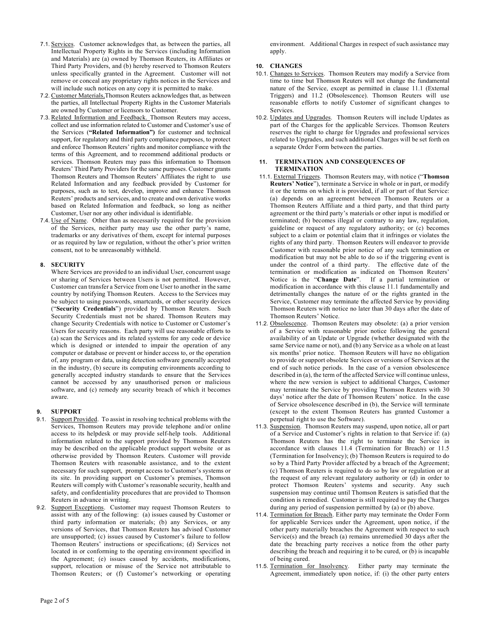- 7.1. Services. Customer acknowledges that, as between the parties, all Intellectual Property Rights in the Services (including Information and Materials) are (a) owned by Thomson Reuters, its Affiliates or Third Party Providers, and (b) hereby reserved to Thomson Reuters unless specifically granted in the Agreement. Customer will not remove or conceal any proprietary rights notices in the Services and will include such notices on any copy it is permitted to make.
- 7.2. Customer Materials,Thomson Reuters acknowledges that, as between the parties, all Intellectual Property Rights in the Customer Materials are owned by Customer or licensors to Customer.
- 7.3. Related Information and Feedback. Thomson Reuters may access, collect and use information related to Customer and Customer's use of the Services (**"Related Information")** for customer and technical support, for regulatory and third party compliance purposes, to protect and enforce Thomson Reuters' rights and monitor compliance with the terms of this Agreement, and to recommend additional products or services. Thomson Reuters may pass this information to Thomson Reuters' Third Party Providers for the same purposes. Customer grants Thomson Reuters and Thomson Reuters' Affiliates the right to use Related Information and any feedback provided by Customer for purposes, such as to test, develop, improve and enhance Thomson Reuters' products and services, and to create and own derivative works based on Related Information and feedback, so long as neither Customer, User nor any other individual is identifiable.
- 7.4. Use of Name. Other than as necessarily required for the provision of the Services, neither party may use the other party's name, trademarks or any derivatives of them, except for internal purposes or as required by law or regulation, without the other's prior written consent, not to be unreasonably withheld.

# **8. SECURITY**

Where Services are provided to an individual User, concurrent usage or sharing of Services between Users is not permitted. However, Customer can transfer a Service from one User to another in the same country by notifying Thomson Reuters. Access to the Services may be subject to using passwords, smartcards, or other security devices ("**Security Credentials**") provided by Thomson Reuters. Such Security Credentials must not be shared. Thomson Reuters may change Security Credentials with notice to Customer or Customer's Users for security reasons. Each party will use reasonable efforts to (a) scan the Services and its related systems for any code or device which is designed or intended to impair the operation of any computer or database or prevent or hinder access to, or the operation of, any program or data, using detection software generally accepted in the industry, (b) secure its computing environments according to generally accepted industry standards to ensure that the Services cannot be accessed by any unauthorised person or malicious software, and (c) remedy any security breach of which it becomes aware.

# **9. SUPPORT**

- 9.1. Support Provided. To assist in resolving technical problems with the Services, Thomson Reuters may provide telephone and/or online access to its helpdesk or may provide self-help tools. Additional information related to the support provided by Thomson Reuters may be described on [the](http://thomsonreuters.com/support-and-training) applicable product support website or as otherwise provided by Thomson Reuters. Customer will provide Thomson Reuters with reasonable assistance, and to the extent necessary for such support, prompt access to Customer's systems or its site. In providing support on Customer's premises, Thomson Reuters will comply with Customer's reasonable security, health and safety, and confidentiality procedures that are provided to Thomson Reuters in advance in writing.
- 9.2. Support Exceptions. Customer may request Thomson Reuters to assist with any of the following: (a) issues caused by Customer or third party information or materials; (b) any Services, or any versions of Services, that Thomson Reuters has advised Customer are unsupported; (c) issues caused by Customer's failure to follow Thomson Reuters' instructions or specifications; (d) Services not located in or conforming to the operating environment specified in the Agreement; (e) issues caused by accidents, modifications, support, relocation or misuse of the Service not attributable to Thomson Reuters; or (f) Customer's networking or operating

environment. Additional Charges in respect of such assistance may apply.

# **10. CHANGES**

- 10.1. Changes to Services. Thomson Reuters may modify a Service from time to time but Thomson Reuters will not change the fundamental nature of the Service, except as permitted in clause 11.1 (External Triggers) and 11.2 (Obsolescence). Thomson Reuters will use reasonable efforts to notify Customer of significant changes to Services.
- 10.2. Updates and Upgrades. Thomson Reuters will include Updates as part of the Charges for the applicable Services. Thomson Reuters reserves the right to charge for Upgrades and professional services related to Upgrades, and such additional Charges will be set forth on a separate Order Form between the parties.

#### **11. TERMINATION AND CONSEQUENCES OF TERMINATION**

- 11.1. External Triggers. Thomson Reuters may, with notice ("**Thomson Reuters' Notice**"), terminate a Service in whole or in part, or modify it or the terms on which it is provided, if all or part of that Service: (a) depends on an agreement between Thomson Reuters or a Thomson Reuters Affiliate and a third party, and that third party agreement or the third party's materials or other input is modified or terminated; (b) becomes illegal or contrary to any law, regulation, guideline or request of any regulatory authority; or (c) becomes subject to a claim or potential claim that it infringes or violates the rights of any third party. Thomson Reuters will endeavor to provide Customer with reasonable prior notice of any such termination or modification but may not be able to do so if the triggering event is under the control of a third party. The effective date of the termination or modification as indicated on Thomson Reuters' Notice is the "**Change Date**". If a partial termination or modification in accordance with this clause 11.1 fundamentally and detrimentally changes the nature of or the rights granted in the Service, Customer may terminate the affected Service by providing Thomson Reuters with notice no later than 30 days after the date of Thomson Reuters' Notice.
- 11.2. Obsolescence. Thomson Reuters may obsolete: (a) a prior version of a Service with reasonable prior notice following the general availability of an Update or Upgrade (whether designated with the same Service name or not), and (b) any Service as a whole on at least six months' prior notice. Thomson Reuters will have no obligation to provide or support obsolete Services or versions of Services at the end of such notice periods. In the case of a version obsolescence described in (a), the term of the affected Service will continue unless, where the new version is subject to additional Charges, Customer may terminate the Service by providing Thomson Reuters with 30 days' notice after the date of Thomson Reuters' notice. In the case of Service obsolescence described in (b), the Service will terminate (except to the extent Thomson Reuters has granted Customer a perpetual right to use the Software).
- 11.3. Suspension. Thomson Reuters may suspend, upon notice, all or part of a Service and Customer's rights in relation to that Service if: (a) Thomson Reuters has the right to terminate the Service in accordance with clauses 11.4 (Termination for Breach) or 11.5 (Termination for Insolvency); (b) Thomson Reuters is required to do so by a Third Party Provider affected by a breach of the Agreement; (c) Thomson Reuters is required to do so by law or regulation or at the request of any relevant regulatory authority or (d) in order to protect Thomson Reuters' systems and security. Any such suspension may continue until Thomson Reuters is satisfied that the condition is remedied. Customer is still required to pay the Charges during any period of suspension permitted by (a) or (b) above.
- 11.4. Termination for Breach. Either party may terminate the Order Form for applicable Services under the Agreement, upon notice, if the other party materially breaches the Agreement with respect to such Service(s) and the breach (a) remains unremedied 30 days after the date the breaching party receives a notice from the other party describing the breach and requiring it to be cured, or (b) is incapable of being cured.
- 11.5. Termination for Insolvency. Either party may terminate the Agreement, immediately upon notice, if: (i) the other party enters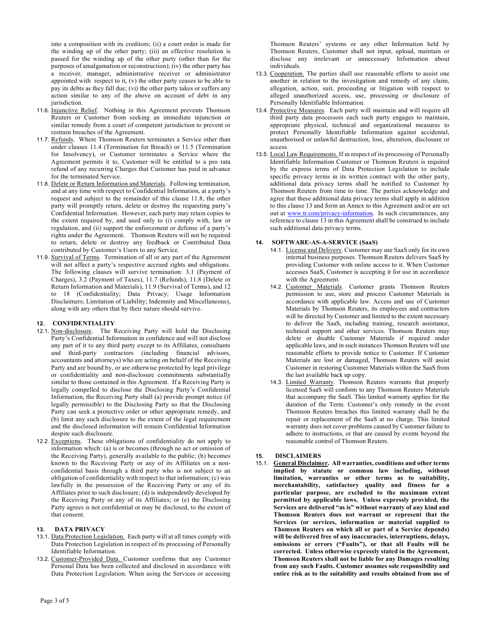into a composition with its creditors; (ii) a court order is made for the winding up of the other party; (iii) an effective resolution is passed for the winding up of the other party (other than for the purposes of amalgamation or reconstruction); (iv) the other party has a receiver, manager, administrative receiver or administrator appointed with respect to it, (v) the other party ceases to be able to pay its debts as they fall due; (vi) the other party takes or suffers any action similar to any of the above on account of debt in any jurisdiction.

- 11.6. Injunctive Relief. Nothing in this Agreement prevents Thomson Reuters or Customer from seeking an immediate injunction or similar remedy from a court of competent jurisdiction to prevent or restrain breaches of the Agreement.
- 11.7. Refunds. Where Thomson Reuters terminates a Service other than under clauses 11.4 (Termination for Breach) or 11.5 (Termination for Insolvency), or Customer terminates a Service where the Agreement permits it to, Customer will be entitled to a pro rata refund of any recurring Charges that Customer has paid in advance for the terminated Service.
- 11.8. Delete or Return Information and Materials. Following termination, and at any time with respect to Confidential Information, at a party's request and subject to the remainder of this clause 11.8, the other party will promptly return, delete or destroy the requesting party's Confidential Information. However, each party may retain copies to the extent required by, and used only to (i) comply with, law or regulation, and (ii) support the enforcement or defense of a party's rights under the Agreement. Thomson Reuters will not be required to return, delete or destroy any feedback or Contributed Data contributed by Customer's Users to any Service.
- 11.9. Survival of Terms. Termination of all or any part of the Agreement will not affect a party's respective accrued rights and obligations. The following clauses will survive termination: 3.1 (Payment of Charges), 3.2 (Payment of Taxes), 11.7 (Refunds), 11.8 (Delete or Return Information and Materials), 11.9 (Survival of Terms), and 12 to 18 (Confidentiality; Data Privacy; Usage Information Disclaimers; Limitation of Liability; Indemnity and Miscellaneous), along with any others that by their nature should survive.

# **12. CONFIDENTIALITY**

- 12.1. Non-disclosure. The Receiving Party will hold the Disclosing Party's Confidential Information in confidence and will not disclose any part of it to any third party except to its Affiliates, consultants and third-party contractors (including financial advisors, accountants and attorneys) who are acting on behalf of the Receiving Party and are bound by, or are otherwise protected by legal privilege or confidentiality and non-disclosure commitments substantially similar to those contained in this Agreement. If a Receiving Party is legally compelled to disclose the Disclosing Party's Confidential Information, the Receiving Party shall (a) provide prompt notice (if legally permissible) to the Disclosing Party so that the Disclosing Party can seek a protective order or other appropriate remedy, and (b) limit any such disclosure to the extent of the legal requirement and the disclosed information will remain Confidential Information despite such disclosure.
- 12.2. Exceptions. These obligations of confidentiality do not apply to information which: (a) is or becomes (through no act or omission of the Receiving Party), generally available to the public; (b) becomes known to the Receiving Party or any of its Affiliates on a nonconfidential basis through a third party who is not subject to an obligation of confidentiality with respect to that information; (c) was lawfully in the possession of the Receiving Party or any of its Affiliates prior to such disclosure; (d) is independently developed by the Receiving Party or any of its Affiliates; or (e) the Disclosing Party agrees is not confidential or may be disclosed, to the extent of that consent.

# **13. DATA PRIVACY**

- 13.1. Data Protection Legislation. Each party will at all times comply with Data Protection Legislation in respect of its processing of Personally Identifiable Information.
- 13.2. Customer-Provided Data. Customer confirms that any Customer Personal Data has been collected and disclosed in accordance with Data Protection Legislation. When using the Services or accessing
- 13.3. Cooperation. The parties shall use reasonable efforts to assist one another in relation to the investigation and remedy of any claim, allegation, action, suit, proceeding or litigation with respect to alleged unauthorized access, use, processing or disclosure of Personally Identifiable Information.
- 13.4. Protective Measures. Each party will maintain and will require all third party data processors each such party engages to maintain, appropriate physical, technical and organizational measures to protect Personally Identifiable Information against accidental, unauthorised or unlawful destruction, loss, alteration, disclosure or access.
- 13.5. Local Law Requirements. If in respect of its processing of Personally Identifiable Information Customer or Thomson Reuters is required by the express terms of Data Protection Legislation to include specific privacy terms in its written contract with the other party, additional data privacy terms shall be notified to Customer by Thomson Reuters from time to time. The parties acknowledge and agree that these additional data privacy terms shall apply in addition to this clause 13 and form an Annex to this Agreement and/or are set out at [www.tr.com/privacy-information](http://www.tr.com/privacy-information)*.* In such circumstances, any reference to clause 13 in this Agreement shall be construed to include such additional data privacy terms.

# **14. SOFTWARE-AS-A-SERVICE (SaaS)**

- 14.1. License and Delivery. Customer may use SaaS only for its own internal business purposes. Thomson Reuters delivers SaaS by providing Customer with online access to it. When Customer accesses SaaS, Customer is accepting it for use in accordance with the Agreement.
- 14.2. Customer Materials. Customer grants Thomson Reuters permission to use, store and process Customer Materials in accordance with applicable law. Access and use of Customer Materials by Thomson Reuters, its employees and contractors will be directed by Customer and limited to the extent necessary to deliver the SaaS, including training, research assistance, technical support and other services. Thomson Reuters may delete or disable Customer Materials if required under applicable laws, and in such instances Thomson Reuters will use reasonable efforts to provide notice to Customer. If Customer Materials are lost or damaged, Thomson Reuters will assist Customer in restoring Customer Materials within the SaaS from the last available back up copy.
- 14.3. Limited Warranty. Thomson Reuters warrants that properly licensed SaaS will conform to any Thomson Reuters Materials that accompany the SaaS. This limited warranty applies for the duration of the Term. Customer's only remedy in the event Thomson Reuters breaches this limited warranty shall be the repair or replacement of the SaaS at no charge. This limited warranty does not cover problems caused by Customer failure to adhere to instructions, or that are caused by events beyond the reasonable control of Thomson Reuters.

# **15. DISCLAIMERS**

15.1. **General Disclaimer. All warranties, conditions and other terms implied by statute or common law including, without limitation, warranties or other terms as to suitability, merchantability, satisfactory quality and fitness for a particular purpose, are excluded to the maximum extent permitted by applicable laws. Unless expressly provided, the Services are delivered "as is" without warranty of any kind and Thomson Reuters does not warrant or represent that the Services (or services, information or material supplied to Thomson Reuters on which all or part of a Service depends) will be delivered free of any inaccuracies, interruptions, delays, omissions or errors ("Faults"), or that all Faults will be corrected. Unless otherwise expressly stated in the Agreement, Thomson Reuters shall not be liable for any Damages resulting from any such Faults. Customer assumes sole responsibility and entire risk as to the suitability and results obtained from use of**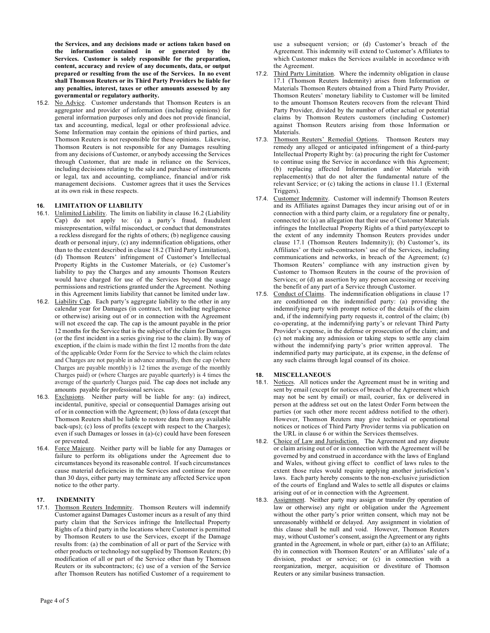**the Services, and any decisions made or actions taken based on the information contained in or generated by the Services. Customer is solely responsible for the preparation, content, accuracy and review of any documents, data, or output prepared or resulting from the use of the Services. In no event shall Thomson Reuters or its Third Party Providers be liable for any penalties, interest, taxes or other amounts assessed by any governmental or regulatory authority.**

15.2. No Advice. Customer understands that Thomson Reuters is an aggregator and provider of information (including opinions) for general information purposes only and does not provide financial, tax and accounting, medical, legal or other professional advice. Some Information may contain the opinions of third parties, and Thomson Reuters is not responsible for these opinions. Likewise, Thomson Reuters is not responsible for any Damages resulting from any decisions of Customer, or anybody accessing the Services through Customer, that are made in reliance on the Services, including decisions relating to the sale and purchase of instruments or legal, tax and accounting, compliance, financial and/or risk management decisions. Customer agrees that it uses the Services at its own risk in these respects.

# **16. LIMITATION OF LIABILITY**

- 16.1. Unlimited Liability. The limits on liability in clause 16.2 (Liability Cap) do not apply to: (a) a party's fraud, fraudulent misrepresentation, wilful misconduct, or conduct that demonstrates a reckless disregard for the rights of others; (b) negligence causing death or personal injury, (c) any indemnification obligations, other than to the extent described in clause 18.2 (Third Party Limitation), (d) Thomson Reuters' infringement of Customer's Intellectual Property Rights in the Customer Materials, or (e) Customer's liability to pay the Charges and any amounts Thomson Reuters would have charged for use of the Services beyond the usage permissions and restrictions granted under the Agreement. Nothing in this Agreement limits liability that cannot be limited under law.
- 16.2. Liability Cap. Each party's aggregate liability to the other in any calendar year for Damages (in contract, tort including negligence or otherwise) arising out of or in connection with the Agreement will not exceed the cap. The cap is the amount payable in the prior 12 months for the Service that is the subject of the claim for Damages (or the first incident in a series giving rise to the claim). By way of exception, if the claim is made within the first 12 months from the date of the applicable Order Form for the Service to which the claim relates and Charges are not payable in advance annually, then the cap (where Charges are payable monthly) is 12 times the average of the monthly Charges paid) or (where Charges are payable quarterly) is 4 times the average of the quarterly Charges paid. The cap does not include any amounts payable for professional services.
- 16.3. Exclusions. Neither party will be liable for any: (a) indirect, incidental, punitive, special or consequential Damages arising out of or in connection with the Agreement; (b) loss of data (except that Thomson Reuters shall be liable to restore data from any available back-ups); (c) loss of profits (except with respect to the Charges); even if such Damages or losses in (a)-(c) could have been foreseen or prevented.
- 16.4. Force Majeure. Neither party will be liable for any Damages or failure to perform its obligations under the Agreement due to circumstances beyond its reasonable control. If such circumstances cause material deficiencies in the Services and continue for more than 30 days, either party may terminate any affected Service upon notice to the other party.

## **17. INDEMNITY**

17.1. Thomson Reuters Indemnity. Thomson Reuters will indemnify Customer against Damages Customer incurs as a result of any third party claim that the Services infringe the Intellectual Property Rights of a third party in the locations where Customer is permitted by Thomson Reuters to use the Services, except if the Damage results from: (a) the combination of all or part of the Service with other products or technology not supplied by Thomson Reuters; (b) modification of all or part of the Service other than by Thomson Reuters or its subcontractors; (c) use of a version of the Service after Thomson Reuters has notified Customer of a requirement to

use a subsequent version; or (d) Customer's breach of the Agreement. This indemnity will extend to Customer's Affiliates to which Customer makes the Services available in accordance with the Agreement.

- 17.2. Third Party Limitation. Where the indemnity obligation in clause 17.1 (Thomson Reuters Indemnity) arises from Information or Materials Thomson Reuters obtained from a Third Party Provider, Thomson Reuters' monetary liability to Customer will be limited to the amount Thomson Reuters recovers from the relevant Third Party Provider, divided by the number of other actual or potential claims by Thomson Reuters customers (including Customer) against Thomson Reuters arising from those Information or Materials.
- 17.3. Thomson Reuters' Remedial Options. Thomson Reuters may remedy any alleged or anticipated infringement of a third-party Intellectual Property Right by: (a) procuring the right for Customer to continue using the Service in accordance with this Agreement; (b) replacing affected Information and/or Materials with replacement(s) that do not alter the fundamental nature of the relevant Service; or (c) taking the actions in clause 11.1 (External Triggers).
- 17.4. Customer Indemnity. Customer will indemnify Thomson Reuters and its Affiliates against Damages they incur arising out of or in connection with a third party claim, or a regulatory fine or penalty, connected to: (a) an allegation that their use of Customer Materials infringes the Intellectual Property Rights of a third party(except to the extent of any indemnity Thomson Reuters provides under clause 17.1 (Thomson Reuters Indemnity)); (b) Customer's, its Affiliates' or their sub-contractors' use of the Services, including communications and networks, in breach of the Agreement; (c) Thomson Reuters' compliance with any instruction given by Customer to Thomson Reuters in the course of the provision of Services; or (d) an assertion by any person accessing or receiving the benefit of any part of a Service through Customer.
- 17.5. Conduct of Claims. The indemnification obligations in clause 17 are conditioned on the indemnified party: (a) providing the indemnifying party with prompt notice of the details of the claim and, if the indemnifying party requests it, control of the claim; (b) co-operating, at the indemnifying party's or relevant Third Party Provider's expense, in the defense or prosecution of the claim; and (c) not making any admission or taking steps to settle any claim without the indemnifying party's prior written approval. The indemnified party may participate, at its expense, in the defense of any such claims through legal counsel of its choice.

## **18. MISCELLANEOUS**

- 18.1. Notices. All notices under the Agreement must be in writing and sent by email (except for notices of breach of the Agreement which may not be sent by email) or mail, courier, fax or delivered in person at the address set out on the latest Order Form between the parties (or such other more recent address notified to the other). However, Thomson Reuters may give technical or operational notices or notices of Third Party Provider terms via publication on the URL in clause 6 or within the Services themselves.
- 18.2. Choice of Law and Jurisdiction.The Agreement and any dispute or claim arising out of or in connection with the Agreement will be governed by and construed in accordance with the laws of England and Wales, without giving effect to conflict of laws rules to the extent those rules would require applying another jurisdiction's laws. Each party hereby consents to the non-exclusive jurisdiction of the courts of England and Wales to settle all disputes or claims arising out of or in connection with the Agreement.
- 18.3. Assignment. Neither party may assign or transfer (by operation of law or otherwise) any right or obligation under the Agreement without the other party's prior written consent, which may not be unreasonably withheld or delayed. Any assignment in violation of this clause shall be null and void. However, Thomson Reuters may, without Customer's consent, assign the Agreement or any rights granted in the Agreement, in whole or part, either (a) to an Affiliate; (b) in connection with Thomson Reuters' or an Affiliates' sale of a division, product or service; or (c) in connection with a reorganization, merger, acquisition or divestiture of Thomson Reuters or any similar business transaction.